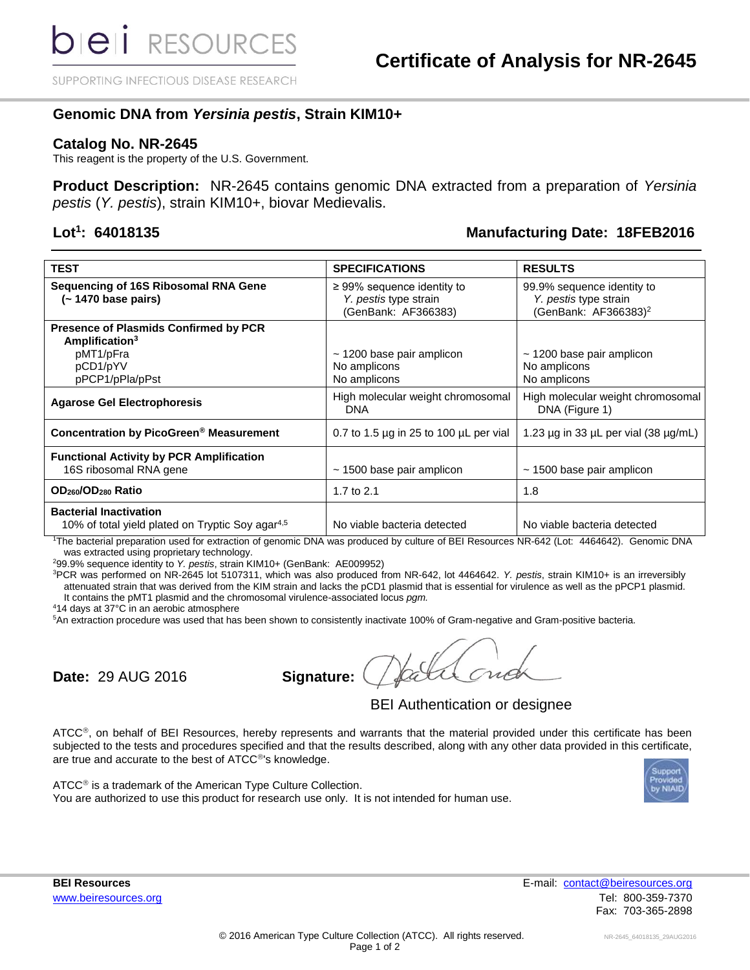SUPPORTING INFECTIOUS DISEASE RESEARCH

## **Genomic DNA from** *Yersinia pestis***, Strain KIM10+**

#### **Catalog No. NR-2645**

This reagent is the property of the U.S. Government.

**Product Description:** NR-2645 contains genomic DNA extracted from a preparation of *Yersinia pestis* (*Y. pestis*), strain KIM10+, biovar Medievalis.

### Lot<sup>1</sup>: 64018135

#### **: 64018135 Manufacturing Date: 18FEB2016**

| TEST                                                                                                                   | <b>SPECIFICATIONS</b>                                                           | <b>RESULTS</b>                                                                          |
|------------------------------------------------------------------------------------------------------------------------|---------------------------------------------------------------------------------|-----------------------------------------------------------------------------------------|
| Sequencing of 16S Ribosomal RNA Gene<br>(~1470 base pairs)                                                             | $\geq$ 99% sequence identity to<br>Y. pestis type strain<br>(GenBank: AF366383) | 99.9% sequence identity to<br>Y. pestis type strain<br>(GenBank: AF366383) <sup>2</sup> |
| <b>Presence of Plasmids Confirmed by PCR</b><br>Amplification <sup>3</sup><br>pMT1/pFra<br>pCD1/pYV<br>pPCP1/pPla/pPst | $\sim$ 1200 base pair amplicon<br>No amplicons<br>No amplicons                  | $\sim$ 1200 base pair amplicon<br>No amplicons<br>No amplicons                          |
| <b>Agarose Gel Electrophoresis</b>                                                                                     | High molecular weight chromosomal<br><b>DNA</b>                                 | High molecular weight chromosomal<br>DNA (Figure 1)                                     |
| Concentration by PicoGreen <sup>®</sup> Measurement                                                                    | 0.7 to 1.5 $\mu$ g in 25 to 100 $\mu$ L per vial                                | 1.23 $\mu$ g in 33 $\mu$ L per vial (38 $\mu$ g/mL)                                     |
| <b>Functional Activity by PCR Amplification</b><br>16S ribosomal RNA gene                                              | $\sim$ 1500 base pair amplicon                                                  | $\sim$ 1500 base pair amplicon                                                          |
| OD <sub>260</sub> /OD <sub>280</sub> Ratio                                                                             | 1.7 to 2.1                                                                      | 1.8                                                                                     |
| <b>Bacterial Inactivation</b><br>10% of total yield plated on Tryptic Soy agar <sup>4,5</sup>                          | No viable bacteria detected                                                     | No viable bacteria detected                                                             |

<sup>1</sup>The bacterial preparation used for extraction of genomic DNA was produced by culture of BEI Resources NR-642 (Lot: 4464642). Genomic DNA was extracted using proprietary technology.

<sup>2</sup>99.9% sequence identity to *Y. pestis*, strain KIM10+ (GenBank: AE009952)

<sup>3</sup>PCR was performed on NR-2645 lot 5107311, which was also produced from NR-642, lot 4464642. *Y. pestis*, strain KIM10+ is an irreversibly attenuated strain that was derived from the KIM strain and lacks the pCD1 plasmid that is essential for virulence as well as the pPCP1 plasmid. It contains the pMT1 plasmid and the chromosomal virulence-associated locus *pgm.*

<sup>4</sup>14 days at 37°C in an aerobic atmosphere

<sup>5</sup>An extraction procedure was used that has been shown to consistently inactivate 100% of Gram-negative and Gram-positive bacteria.

**Date:** 29 AUG 2016 **Signature:** 

BEI Authentication or designee

ATCC®, on behalf of BEI Resources, hereby represents and warrants that the material provided under this certificate has been subjected to the tests and procedures specified and that the results described, along with any other data provided in this certificate, are true and accurate to the best of ATCC<sup>®'</sup>s knowledge.



 $ATCC<sup>®</sup>$  is a trademark of the American Type Culture Collection. You are authorized to use this product for research use only. It is not intended for human use.

**BEI Resources** E-mail: [contact@beiresources.org](mailto:contact@beiresources.org) [www.beiresources.org](http://www.beiresources.org/) and the set of the set of the set of the set of the set of the set of the set of the set of the set of the set of the set of the set of the set of the set of the set of the set of the set of the set of Fax: 703-365-2898